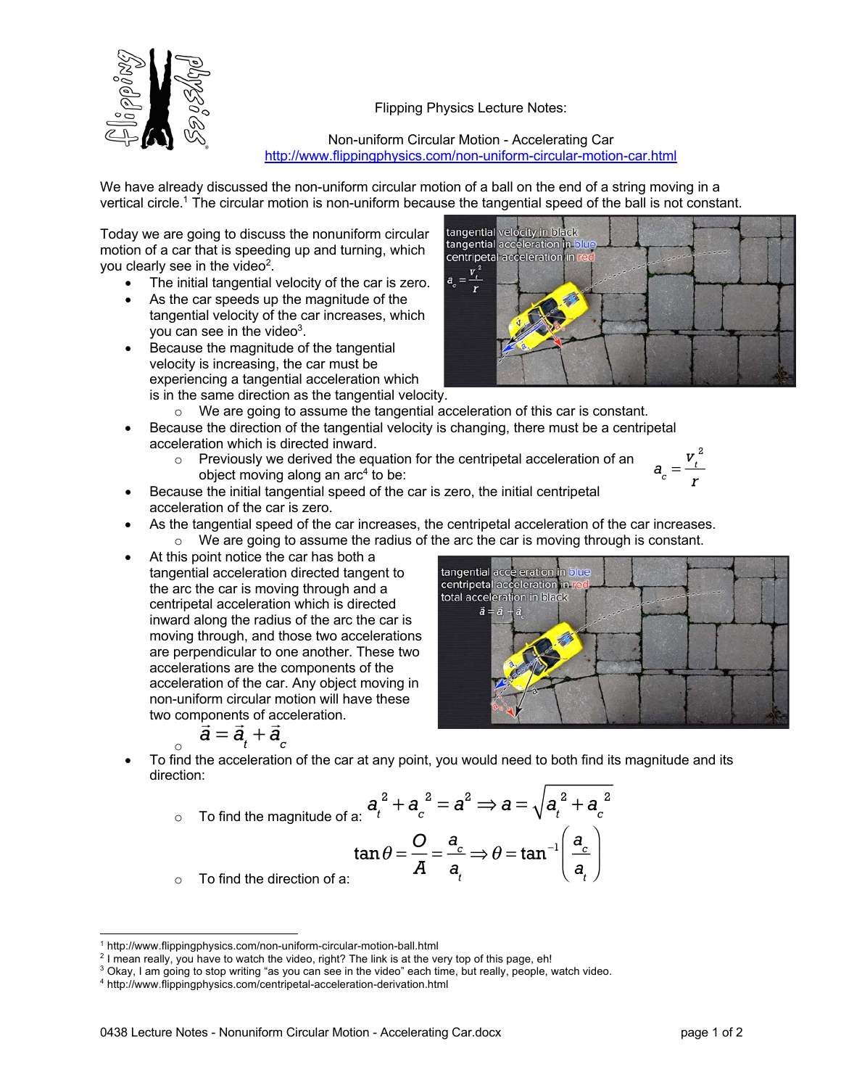



Non-uniform Circular Motion - Accelerating Car http://www.flippingphysics.com/non-uniform-circular-motion-car.html

 $\underline{v}_t^{\epsilon}$ 

tangential velocity in black<br>tangential acceleration in b centripetal acceleration in

tangential acceleration in blue centripetal acceleration in r total acceleration in black  $\vec{a} = \vec{a}$ 

We have already discussed the non-uniform circular motion of a ball on the end of a string moving in a vertical circle.1 The circular motion is non-uniform because the tangential speed of the ball is not constant.

Today we are going to discuss the nonuniform circular motion of a car that is speeding up and turning, which you clearly see in the video<sup>2</sup>.

- The initial tangential velocity of the car is zero.
- As the car speeds up the magnitude of the tangential velocity of the car increases, which you can see in the video<sup>3</sup>.
- Because the magnitude of the tangential velocity is increasing, the car must be experiencing a tangential acceleration which is in the same direction as the tangential velocity.
	- o We are going to assume the tangential acceleration of this car is constant.
- Because the direction of the tangential velocity is changing, there must be a centripetal acceleration which is directed inward.
	- o Previously we derived the equation for the centripetal acceleration of an object moving along an  $arc^4$  to be:

$$
a_c = \frac{v_t^2}{r}
$$

- Because the initial tangential speed of the car is zero, the initial centripetal acceleration of the car is zero.
- As the tangential speed of the car increases, the centripetal acceleration of the car increases.  $\circ$  We are going to assume the radius of the arc the car is moving through is constant.
- At this point notice the car has both a tangential acceleration directed tangent to the arc the car is moving through and a centripetal acceleration which is directed inward along the radius of the arc the car is moving through, and those two accelerations are perpendicular to one another. These two accelerations are the components of the acceleration of the car. Any object moving in non-uniform circular motion will have these two components of acceleration.

$$
\vec{a} = \vec{a}_t + \vec{a}_c
$$

o • To find the acceleration of the car at any point, you would need to both find its magnitude and its direction:

$$
\frac{a_t^2 + a_c^2 = a^2 \Rightarrow a = \sqrt{a_t^2 + a_c^2}
$$
  
 
$$
\tan \theta = \frac{O}{A} = \frac{a_c}{a_t} \Rightarrow \theta = \tan^{-1} \left(\frac{a_c}{a_t}\right)
$$

o To find the direction of a:

<sup>1</sup> http://www.flippingphysics.com/non-uniform-circular-motion-ball.html

<sup>&</sup>lt;sup>2</sup> I mean really, you have to watch the video, right? The link is at the very top of this page, eh!

<sup>3</sup> Okay, I am going to stop writing "as you can see in the video" each time, but really, people, watch video.

<sup>4</sup> http://www.flippingphysics.com/centripetal-acceleration-derivation.html